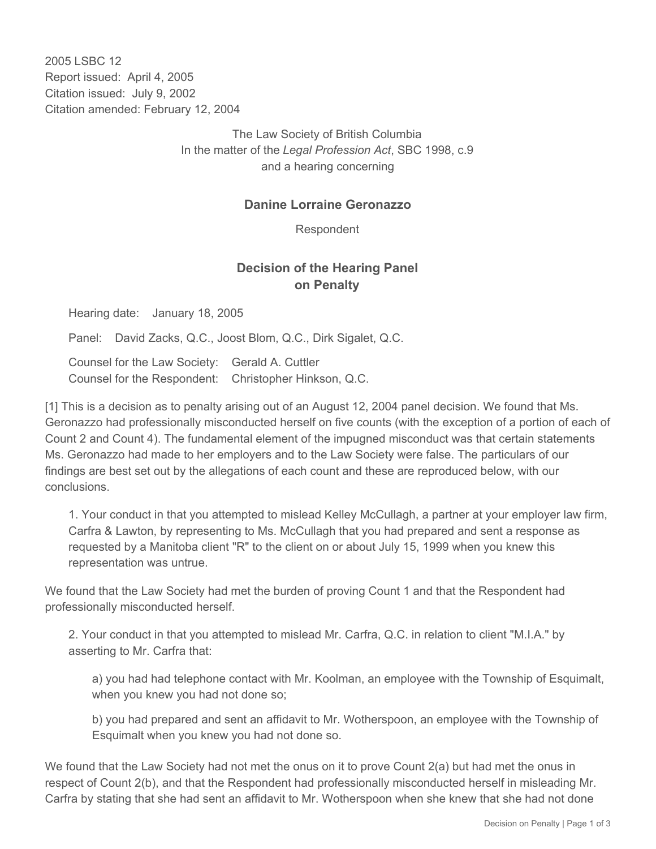2005 LSBC 12 Report issued: April 4, 2005 Citation issued: July 9, 2002 Citation amended: February 12, 2004

> The Law Society of British Columbia In the matter of the *Legal Profession Act*, SBC 1998, c.9 and a hearing concerning

## **Danine Lorraine Geronazzo**

Respondent

## **Decision of the Hearing Panel on Penalty**

Hearing date: January 18, 2005

Panel: David Zacks, Q.C., Joost Blom, Q.C., Dirk Sigalet, Q.C.

Counsel for the Law Society: Gerald A. Cuttler Counsel for the Respondent: Christopher Hinkson, Q.C.

[1] This is a decision as to penalty arising out of an August 12, 2004 panel decision. We found that Ms. Geronazzo had professionally misconducted herself on five counts (with the exception of a portion of each of Count 2 and Count 4). The fundamental element of the impugned misconduct was that certain statements Ms. Geronazzo had made to her employers and to the Law Society were false. The particulars of our findings are best set out by the allegations of each count and these are reproduced below, with our conclusions.

1. Your conduct in that you attempted to mislead Kelley McCullagh, a partner at your employer law firm, Carfra & Lawton, by representing to Ms. McCullagh that you had prepared and sent a response as requested by a Manitoba client "R" to the client on or about July 15, 1999 when you knew this representation was untrue.

We found that the Law Society had met the burden of proving Count 1 and that the Respondent had professionally misconducted herself.

2. Your conduct in that you attempted to mislead Mr. Carfra, Q.C. in relation to client "M.I.A." by asserting to Mr. Carfra that:

a) you had had telephone contact with Mr. Koolman, an employee with the Township of Esquimalt, when you knew you had not done so;

b) you had prepared and sent an affidavit to Mr. Wotherspoon, an employee with the Township of Esquimalt when you knew you had not done so.

We found that the Law Society had not met the onus on it to prove Count 2(a) but had met the onus in respect of Count 2(b), and that the Respondent had professionally misconducted herself in misleading Mr. Carfra by stating that she had sent an affidavit to Mr. Wotherspoon when she knew that she had not done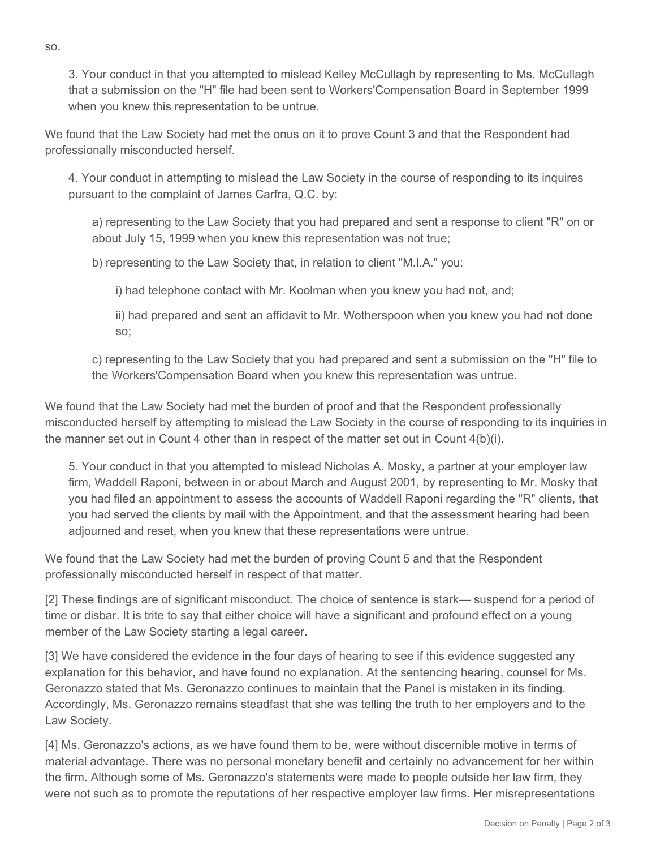3. Your conduct in that you attempted to mislead Kelley McCullagh by representing to Ms. McCullagh that a submission on the "H" file had been sent to Workers'Compensation Board in September 1999 when you knew this representation to be untrue.

We found that the Law Society had met the onus on it to prove Count 3 and that the Respondent had professionally misconducted herself.

4. Your conduct in attempting to mislead the Law Society in the course of responding to its inquires pursuant to the complaint of James Carfra, Q.C. by:

a) representing to the Law Society that you had prepared and sent a response to client "R" on or about July 15, 1999 when you knew this representation was not true;

b) representing to the Law Society that, in relation to client "M.I.A." you:

i) had telephone contact with Mr. Koolman when you knew you had not, and;

ii) had prepared and sent an affidavit to Mr. Wotherspoon when you knew you had not done so;

c) representing to the Law Society that you had prepared and sent a submission on the "H" file to the Workers'Compensation Board when you knew this representation was untrue.

We found that the Law Society had met the burden of proof and that the Respondent professionally misconducted herself by attempting to mislead the Law Society in the course of responding to its inquiries in the manner set out in Count 4 other than in respect of the matter set out in Count 4(b)(i).

5. Your conduct in that you attempted to mislead Nicholas A. Mosky, a partner at your employer law firm, Waddell Raponi, between in or about March and August 2001, by representing to Mr. Mosky that you had filed an appointment to assess the accounts of Waddell Raponi regarding the "R" clients, that you had served the clients by mail with the Appointment, and that the assessment hearing had been adjourned and reset, when you knew that these representations were untrue.

We found that the Law Society had met the burden of proving Count 5 and that the Respondent professionally misconducted herself in respect of that matter.

[2] These findings are of significant misconduct. The choice of sentence is stark— suspend for a period of time or disbar. It is trite to say that either choice will have a significant and profound effect on a young member of the Law Society starting a legal career.

[3] We have considered the evidence in the four days of hearing to see if this evidence suggested any explanation for this behavior, and have found no explanation. At the sentencing hearing, counsel for Ms. Geronazzo stated that Ms. Geronazzo continues to maintain that the Panel is mistaken in its finding. Accordingly, Ms. Geronazzo remains steadfast that she was telling the truth to her employers and to the Law Society.

[4] Ms. Geronazzo's actions, as we have found them to be, were without discernible motive in terms of material advantage. There was no personal monetary benefit and certainly no advancement for her within the firm. Although some of Ms. Geronazzo's statements were made to people outside her law firm, they were not such as to promote the reputations of her respective employer law firms. Her misrepresentations

so.